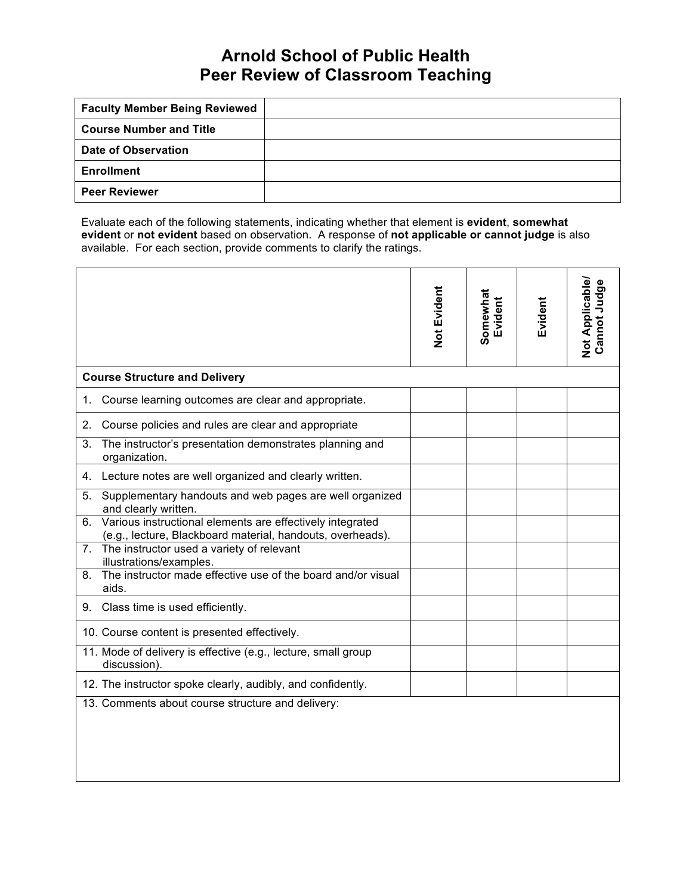## **Arnold School of Public Health Peer Review of Classroom Teaching**

| <b>Faculty Member Being Reviewed</b> |  |
|--------------------------------------|--|
| <b>Course Number and Title</b>       |  |
| Date of Observation                  |  |
| <b>Enrollment</b>                    |  |
| <b>Peer Reviewer</b>                 |  |

Evaluate each of the following statements, indicating whether that element is **evident**, **somewhat evident** or **not evident** based on observation. A response of **not applicable or cannot judge** is also available. For each section, provide comments to clarify the ratings.

|                                      |                                                                                                                         | Not Evident | Somewhat<br>Evident | Evident | Not Applicable/<br>Cannot Judge |  |  |
|--------------------------------------|-------------------------------------------------------------------------------------------------------------------------|-------------|---------------------|---------|---------------------------------|--|--|
| <b>Course Structure and Delivery</b> |                                                                                                                         |             |                     |         |                                 |  |  |
| 1.                                   | Course learning outcomes are clear and appropriate.                                                                     |             |                     |         |                                 |  |  |
| 2.                                   | Course policies and rules are clear and appropriate                                                                     |             |                     |         |                                 |  |  |
| 3.                                   | The instructor's presentation demonstrates planning and<br>organization.                                                |             |                     |         |                                 |  |  |
|                                      | 4. Lecture notes are well organized and clearly written.                                                                |             |                     |         |                                 |  |  |
| 5.                                   | Supplementary handouts and web pages are well organized<br>and clearly written.                                         |             |                     |         |                                 |  |  |
| 6.                                   | Various instructional elements are effectively integrated<br>(e.g., lecture, Blackboard material, handouts, overheads). |             |                     |         |                                 |  |  |
| 7.                                   | The instructor used a variety of relevant<br>illustrations/examples.                                                    |             |                     |         |                                 |  |  |
| 8.                                   | The instructor made effective use of the board and/or visual<br>aids.                                                   |             |                     |         |                                 |  |  |
|                                      | 9. Class time is used efficiently.                                                                                      |             |                     |         |                                 |  |  |
|                                      | 10. Course content is presented effectively.                                                                            |             |                     |         |                                 |  |  |
|                                      | 11. Mode of delivery is effective (e.g., lecture, small group<br>discussion).                                           |             |                     |         |                                 |  |  |
|                                      | 12. The instructor spoke clearly, audibly, and confidently.                                                             |             |                     |         |                                 |  |  |
|                                      | 13. Comments about course structure and delivery:                                                                       |             |                     |         |                                 |  |  |